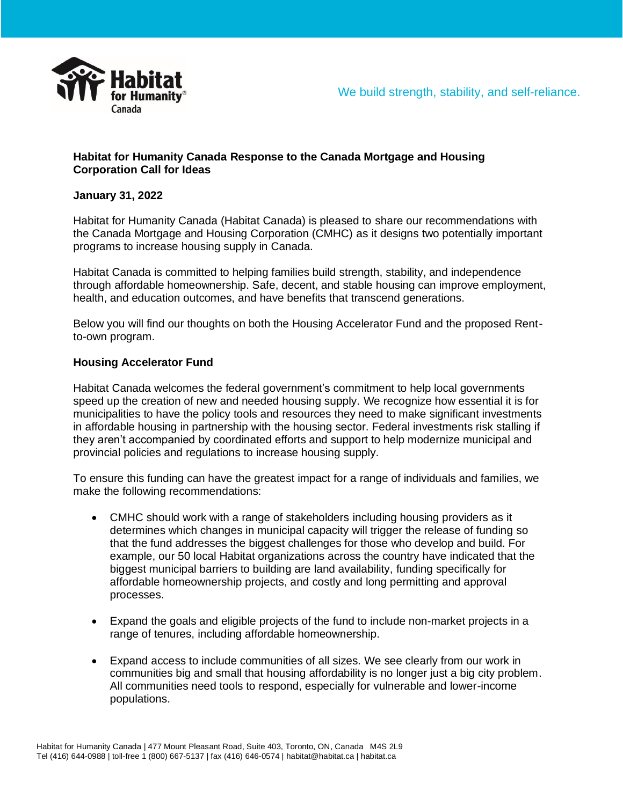

## **Habitat for Humanity Canada Response to the Canada Mortgage and Housing Corporation Call for Ideas**

# **January 31, 2022**

Habitat for Humanity Canada (Habitat Canada) is pleased to share our recommendations with the Canada Mortgage and Housing Corporation (CMHC) as it designs two potentially important programs to increase housing supply in Canada.

Habitat Canada is committed to helping families build strength, stability, and independence through affordable homeownership. Safe, decent, and stable housing can improve employment, health, and education outcomes, and have benefits that transcend generations.

Below you will find our thoughts on both the Housing Accelerator Fund and the proposed Rentto-own program.

#### **Housing Accelerator Fund**

Habitat Canada welcomes the federal government's commitment to help local governments speed up the creation of new and needed housing supply. We recognize how essential it is for municipalities to have the policy tools and resources they need to make significant investments in affordable housing in partnership with the housing sector. Federal investments risk stalling if they aren't accompanied by coordinated efforts and support to help modernize municipal and provincial policies and regulations to increase housing supply.

To ensure this funding can have the greatest impact for a range of individuals and families, we make the following recommendations:

- CMHC should work with a range of stakeholders including housing providers as it determines which changes in municipal capacity will trigger the release of funding so that the fund addresses the biggest challenges for those who develop and build. For example, our 50 local Habitat organizations across the country have indicated that the biggest municipal barriers to building are land availability, funding specifically for affordable homeownership projects, and costly and long permitting and approval processes.
- Expand the goals and eligible projects of the fund to include non-market projects in a range of tenures, including affordable homeownership.
- Expand access to include communities of all sizes. We see clearly from our work in communities big and small that housing affordability is no longer just a big city problem. All communities need tools to respond, especially for vulnerable and lower-income populations.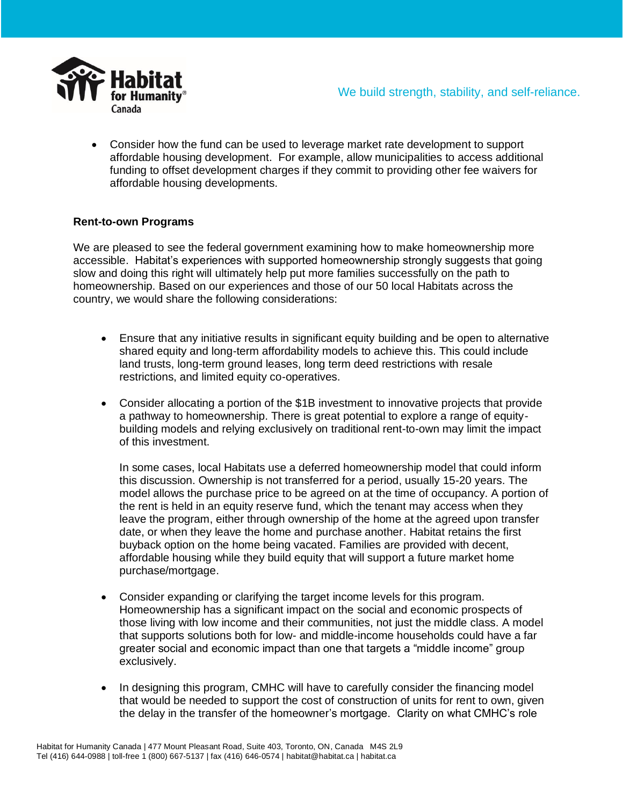

We build strength, stability, and self-reliance.

• Consider how the fund can be used to leverage market rate development to support affordable housing development. For example, allow municipalities to access additional funding to offset development charges if they commit to providing other fee waivers for affordable housing developments.

## **Rent-to-own Programs**

We are pleased to see the federal government examining how to make homeownership more accessible. Habitat's experiences with supported homeownership strongly suggests that going slow and doing this right will ultimately help put more families successfully on the path to homeownership. Based on our experiences and those of our 50 local Habitats across the country, we would share the following considerations:

- Ensure that any initiative results in significant equity building and be open to alternative shared equity and long-term affordability models to achieve this. This could include land trusts, long-term ground leases, long term deed restrictions with resale restrictions, and limited equity co-operatives.
- Consider allocating a portion of the \$1B investment to innovative projects that provide a pathway to homeownership. There is great potential to explore a range of equitybuilding models and relying exclusively on traditional rent-to-own may limit the impact of this investment.

In some cases, local Habitats use a deferred homeownership model that could inform this discussion. Ownership is not transferred for a period, usually 15-20 years. The model allows the purchase price to be agreed on at the time of occupancy. A portion of the rent is held in an equity reserve fund, which the tenant may access when they leave the program, either through ownership of the home at the agreed upon transfer date, or when they leave the home and purchase another. Habitat retains the first buyback option on the home being vacated. Families are provided with decent, affordable housing while they build equity that will support a future market home purchase/mortgage.

- Consider expanding or clarifying the target income levels for this program. Homeownership has a significant impact on the social and economic prospects of those living with low income and their communities, not just the middle class. A model that supports solutions both for low- and middle-income households could have a far greater social and economic impact than one that targets a "middle income" group exclusively.
- In designing this program, CMHC will have to carefully consider the financing model that would be needed to support the cost of construction of units for rent to own, given the delay in the transfer of the homeowner's mortgage. Clarity on what CMHC's role